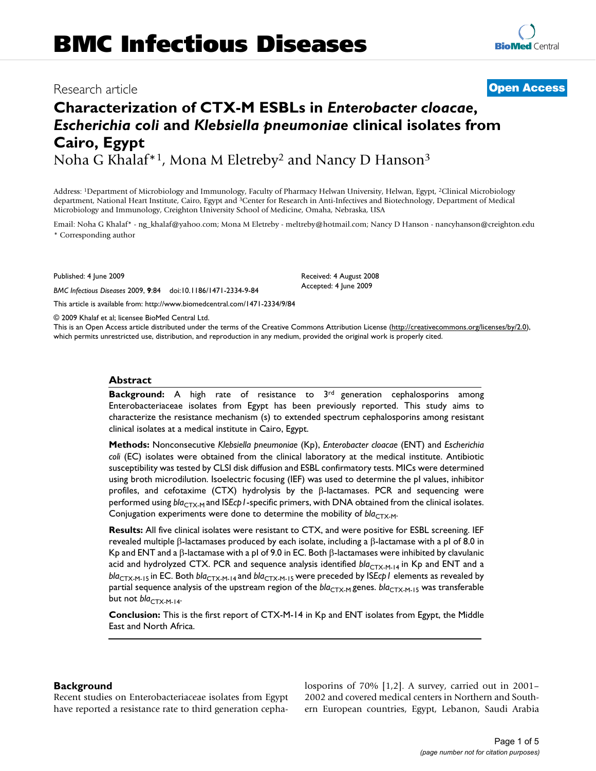## Research article **[Open Access](http://www.biomedcentral.com/info/about/charter/)**

# **Characterization of CTX-M ESBLs in** *Enterobacter cloacae***,**  *Escherichia coli* **and** *Klebsiella pneumoniae* **clinical isolates from Cairo, Egypt**

Noha G Khalaf\*1, Mona M Eletreby2 and Nancy D Hanson3

Address: 1Department of Microbiology and Immunology, Faculty of Pharmacy Helwan University, Helwan, Egypt, 2Clinical Microbiology department, National Heart Institute, Cairo, Egypt and 3Center for Research in Anti-Infectives and Biotechnology, Department of Medical Microbiology and Immunology, Creighton University School of Medicine, Omaha, Nebraska, USA

Email: Noha G Khalaf\* - ng\_khalaf@yahoo.com; Mona M Eletreby - meltreby@hotmail.com; Nancy D Hanson - nancyhanson@creighton.edu \* Corresponding author

Published: 4 June 2009

*BMC Infectious Diseases* 2009, **9**:84 doi:10.1186/1471-2334-9-84

[This article is available from: http://www.biomedcentral.com/1471-2334/9/84](http://www.biomedcentral.com/1471-2334/9/84)

© 2009 Khalaf et al; licensee BioMed Central Ltd.

This is an Open Access article distributed under the terms of the Creative Commons Attribution License [\(http://creativecommons.org/licenses/by/2.0\)](http://creativecommons.org/licenses/by/2.0), which permits unrestricted use, distribution, and reproduction in any medium, provided the original work is properly cited.

#### **Abstract**

**Background:** A high rate of resistance to 3rd generation cephalosporins among Enterobacteriaceae isolates from Egypt has been previously reported. This study aims to characterize the resistance mechanism (s) to extended spectrum cephalosporins among resistant clinical isolates at a medical institute in Cairo, Egypt.

**Methods:** Nonconsecutive *Klebsiella pneumoniae* (Kp), *Enterobacter cloacae* (ENT) and *Escherichia coli* (EC) isolates were obtained from the clinical laboratory at the medical institute. Antibiotic susceptibility was tested by CLSI disk diffusion and ESBL confirmatory tests. MICs were determined using broth microdilution. Isoelectric focusing (IEF) was used to determine the pI values, inhibitor profiles, and cefotaxime (CTX) hydrolysis by the β-lactamases. PCR and sequencing were performed using *bla<sub>CTX-M</sub>* and *ISEcp1*-specific primers, with DNA obtained from the clinical isolates. Conjugation experiments were done to determine the mobility of *bla*<sub>CTX-M</sub>.

**Results:** All five clinical isolates were resistant to CTX, and were positive for ESBL screening. IEF revealed multiple β-lactamases produced by each isolate, including a β-lactamase with a pl of 8.0 in Kp and ENT and a β-lactamase with a pI of 9.0 in EC. Both β-lactamases were inhibited by clavulanic acid and hydrolyzed CTX. PCR and sequence analysis identified  $bla_{CTX-M-14}$  in Kp and ENT and a *bla*CTX-M-15 in EC. Both *bla*CTX-M-14 and *bla*CTX-M-15 were preceded by IS*Ecp1* elements as revealed by partial sequence analysis of the upstream region of the *bla*<sub>CTX-M</sub> genes. *bla*<sub>CTX-M-15</sub> was transferable but not *bla<sub>CTX-M-14</sub>*.

**Conclusion:** This is the first report of CTX-M-14 in Kp and ENT isolates from Egypt, the Middle East and North Africa.

#### **Background**

Recent studies on Enterobacteriaceae isolates from Egypt have reported a resistance rate to third generation cephalosporins of 70% [\[1,](#page-4-0)[2\]](#page-4-1). A survey, carried out in 2001– 2002 and covered medical centers in Northern and Southern European countries, Egypt, Lebanon, Saudi Arabia

Received: 4 August 2008 Accepted: 4 June 2009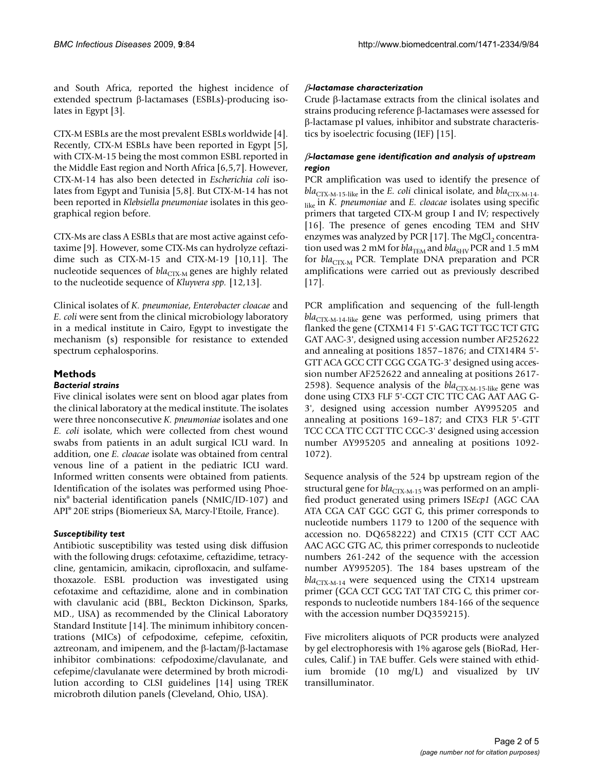and South Africa, reported the highest incidence of extended spectrum β-lactamases (ESBLs)-producing isolates in Egypt [\[3\]](#page-4-2).

CTX-M ESBLs are the most prevalent ESBLs worldwide [[4](#page-4-3)]. Recently, CTX-M ESBLs have been reported in Egypt [[5](#page-4-4)], with CTX-M-15 being the most common ESBL reported in the Middle East region and North Africa [[6](#page-4-5)[,5](#page-4-4)[,7\]](#page-4-6). However, CTX-M-14 has also been detected in *Escherichia coli* isolates from Egypt and Tunisia [[5,](#page-4-4)[8\]](#page-4-7). But CTX-M-14 has not been reported in *Klebsiella pneumoniae* isolates in this geographical region before.

CTX-Ms are class A ESBLs that are most active against cefotaxime [\[9\]](#page-4-8). However, some CTX-Ms can hydrolyze ceftazidime such as CTX-M-15 and CTX-M-19 [[10,](#page-4-9)[11\]](#page-4-10). The nucleotide sequences of  $bla_{CTX-M}$  genes are highly related to the nucleotide sequence of *Kluyvera spp.* [\[12](#page-4-11)[,13](#page-4-12)].

Clinical isolates of *K. pneumoniae*, *Enterobacter cloacae* and *E. coli* were sent from the clinical microbiology laboratory in a medical institute in Cairo, Egypt to investigate the mechanism (s) responsible for resistance to extended spectrum cephalosporins.

### **Methods**

#### *Bacterial strains*

Five clinical isolates were sent on blood agar plates from the clinical laboratory at the medical institute. The isolates were three nonconsecutive *K. pneumoniae* isolates and one *E. coli* isolate, which were collected from chest wound swabs from patients in an adult surgical ICU ward. In addition, one *E. cloacae* isolate was obtained from central venous line of a patient in the pediatric ICU ward. Informed written consents were obtained from patients. Identification of the isolates was performed using Phoenix® bacterial identification panels (NMIC/ID-107) and API® 20E strips (Biomerieux SA, Marcy-l'Etoile, France).

#### *Susceptibility test*

Antibiotic susceptibility was tested using disk diffusion with the following drugs: cefotaxime, ceftazidime, tetracycline, gentamicin, amikacin, ciprofloxacin, and sulfamethoxazole. ESBL production was investigated using cefotaxime and ceftazidime, alone and in combination with clavulanic acid (BBL, Beckton Dickinson, Sparks, MD., USA) as recommended by the Clinical Laboratory Standard Institute [[14\]](#page-4-13). The minimum inhibitory concentrations (MICs) of cefpodoxime, cefepime, cefoxitin, aztreonam, and imipenem, and the β-lactam/β-lactamase inhibitor combinations: cefpodoxime/clavulanate, and cefepime/clavulanate were determined by broth microdilution according to CLSI guidelines [\[14\]](#page-4-13) using TREK microbroth dilution panels (Cleveland, Ohio, USA).

#### β*-lactamase characterization*

Crude β-lactamase extracts from the clinical isolates and strains producing reference β-lactamases were assessed for β-lactamase pI values, inhibitor and substrate characteristics by isoelectric focusing (IEF) [\[15\]](#page-4-14).

#### β*-lactamase gene identification and analysis of upstream region*

PCR amplification was used to identify the presence of  $bla_{\text{CTX-M-15-like}}$  in the *E. coli* clinical isolate, and  $bla_{\text{CTX-M-14-}}$ like in *K. pneumoniae* and *E. cloacae* isolates using specific primers that targeted CTX-M group I and IV; respectively [[16](#page-4-15)]. The presence of genes encoding TEM and SHV enzymes was analyzed by PCR [\[17\]](#page-4-16). The  $MgCl<sub>2</sub>$  concentration used was 2 mM for  $bla_{\text{TEM}}$  and  $bla_{\text{SHV}}$  PCR and 1.5 mM for *bla<sub>CTX-M</sub>* PCR. Template DNA preparation and PCR amplifications were carried out as previously described [[17](#page-4-16)].

PCR amplification and sequencing of the full-length  $bla_{CTX-M-14-like}$  gene was performed, using primers that flanked the gene (CTXM14 F1 5'-GAG TGT TGC TCT GTG GAT AAC-3', designed using accession number AF252622 and annealing at positions 1857–1876; and CTX14R4 5'- GTT ACA GCC CTT CGG CGA TG-3' designed using accession number AF252622 and annealing at positions 2617- 2598). Sequence analysis of the *bla<sub>CTX-M-15-like</sub>* gene was done using CTX3 FLF 5'-CGT CTC TTC CAG AAT AAG G-3', designed using accession number AY995205 and annealing at positions 169–187; and CTX3 FLR 5'-GTT TCC CCA TTC CGT TTC CGC-3' designed using accession number AY995205 and annealing at positions 1092- 1072).

Sequence analysis of the 524 bp upstream region of the structural gene for *bla*<sub>CTX-M-15</sub> was performed on an amplified product generated using primers IS*Ecp1* (AGC CAA ATA CGA CAT GGC GGT G, this primer corresponds to nucleotide numbers 1179 to 1200 of the sequence with accession no. DQ658222) and CTX15 (CTT CCT AAC AAC AGC GTG AC, this primer corresponds to nucleotide numbers 261-242 of the sequence with the accession number AY995205). The 184 bases upstream of the  $bla_{CTX-M-14}$  were sequenced using the CTX14 upstream primer (GCA CCT GCG TAT TAT CTG C, this primer corresponds to nucleotide numbers 184-166 of the sequence with the accession number DQ359215).

Five microliters aliquots of PCR products were analyzed by gel electrophoresis with 1% agarose gels (BioRad, Hercules, Calif.) in TAE buffer. Gels were stained with ethidium bromide (10 mg/L) and visualized by UV transilluminator.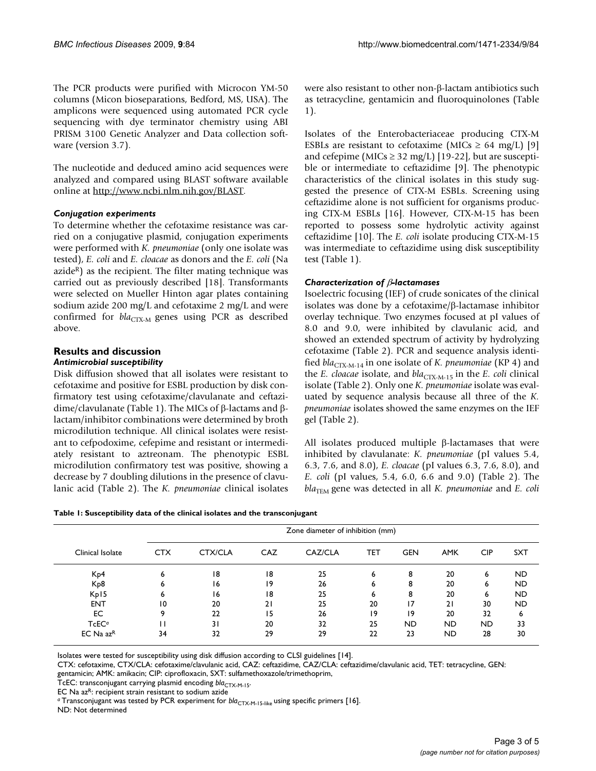The PCR products were purified with Microcon YM-50 columns (Micon bioseparations, Bedford, MS, USA). The amplicons were sequenced using automated PCR cycle sequencing with dye terminator chemistry using ABI PRISM 3100 Genetic Analyzer and Data collection software (version 3.7).

The nucleotide and deduced amino acid sequences were analyzed and compared using BLAST software available online at<http://www.ncbi.nlm.nih.gov/BLAST>.

#### *Conjugation experiments*

To determine whether the cefotaxime resistance was carried on a conjugative plasmid, conjugation experiments were performed with *K. pneumoniae* (only one isolate was tested), *E. coli* and *E. cloacae* as donors and the *E. coli* (Na azide $R$ ) as the recipient. The filter mating technique was carried out as previously described [\[18](#page-4-17)]. Transformants were selected on Mueller Hinton agar plates containing sodium azide 200 mg/L and cefotaxime 2 mg/L and were confirmed for  $bla_{\text{CTX-M}}$  genes using PCR as described above.

#### **Results and discussion** *Antimicrobial susceptibility*

Disk diffusion showed that all isolates were resistant to cefotaxime and positive for ESBL production by disk confirmatory test using cefotaxime/clavulanate and ceftazidime/clavulanate (Table [1\)](#page-2-0). The MICs of β-lactams and βlactam/inhibitor combinations were determined by broth microdilution technique. All clinical isolates were resistant to cefpodoxime, cefepime and resistant or intermediately resistant to aztreonam. The phenotypic ESBL microdilution confirmatory test was positive, showing a decrease by 7 doubling dilutions in the presence of clavulanic acid (Table [2\)](#page-3-0). The *K. pneumoniae* clinical isolates

were also resistant to other non-β-lactam antibiotics such as tetracycline, gentamicin and fluoroquinolones (Table [1](#page-2-0)).

Isolates of the Enterobacteriaceae producing CTX-M ESBLs are resistant to cefotaxime (MICs  $\geq$  64 mg/L) [\[9\]](#page-4-8) and cefepime (MICs  $\geq$  32 mg/L) [\[19-](#page-4-18)[22\]](#page-4-19), but are susceptible or intermediate to ceftazidime [[9](#page-4-8)]. The phenotypic characteristics of the clinical isolates in this study suggested the presence of CTX-M ESBLs. Screening using ceftazidime alone is not sufficient for organisms producing CTX-M ESBLs [\[16\]](#page-4-15). However, CTX-M-15 has been reported to possess some hydrolytic activity against ceftazidime [[10\]](#page-4-9). The *E. coli* isolate producing CTX-M-15 was intermediate to ceftazidime using disk susceptibility test (Table [1\)](#page-2-0).

#### *Characterization of* β*-lactamases*

Isoelectric focusing (IEF) of crude sonicates of the clinical isolates was done by a cefotaxime/β-lactamase inhibitor overlay technique. Two enzymes focused at pI values of 8.0 and 9.0, were inhibited by clavulanic acid, and showed an extended spectrum of activity by hydrolyzing cefotaxime (Table [2\)](#page-3-0). PCR and sequence analysis identified *bla*<sub>CTX-M-14</sub> in one isolate of *K. pneumoniae* (KP 4) and the *E. cloacae* isolate, and *bla*<sub>CTX-M-15</sub> in the *E. coli* clinical isolate (Table [2\)](#page-3-0). Only one *K. pneumoniae* isolate was evaluated by sequence analysis because all three of the *K. pneumoniae* isolates showed the same enzymes on the IEF gel (Table [2](#page-3-0)).

All isolates produced multiple β-lactamases that were inhibited by clavulanate: *K. pneumoniae* (pI values 5.4, 6.3, 7.6, and 8.0), *E. cloacae* (pI values 6.3, 7.6, 8.0), and *E. coli* (pI values, 5.4, 6.0, 6.6 and 9.0) (Table [2](#page-3-0)). The *bla*<sub>TEM</sub> gene was detected in all *K. pneumoniae* and *E. coli* 

<span id="page-2-0"></span>

|                   | Zone diameter of inhibition (mm) |         |            |         |     |            |            |            |            |  |  |
|-------------------|----------------------------------|---------|------------|---------|-----|------------|------------|------------|------------|--|--|
| Clinical Isolate  | <b>CTX</b>                       | CTX/CLA | <b>CAZ</b> | CAZ/CLA | TET | <b>GEN</b> | <b>AMK</b> | <b>CIP</b> | <b>SXT</b> |  |  |
| K <sub>p</sub> 4  | 6                                | 18      | 18         | 25      | 6   | 8          | 20         | 6          | <b>ND</b>  |  |  |
| K <sub>p</sub> 8  | 6                                | 16      | 19         | 26      | 6   | 8          | 20         | 6          | <b>ND</b>  |  |  |
| Kp15              | 6                                | 16      | 18         | 25      | 6   | 8          | 20         | 6          | <b>ND</b>  |  |  |
| <b>ENT</b>        | 10                               | 20      | 21         | 25      | 20  | 17         | 21         | 30         | <b>ND</b>  |  |  |
| EC                | q                                | 22      | 15         | 26      | 19  | 19         | 20         | 32         | 6          |  |  |
| TcEC <sup>a</sup> |                                  | 31      | 20         | 32      | 25  | <b>ND</b>  | <b>ND</b>  | <b>ND</b>  | 33         |  |  |
| $EC$ Na $azR$     | 34                               | 32      | 29         | 29      | 22  | 23         | ND.        | 28         | 30         |  |  |

Isolates were tested for susceptibility using disk diffusion according to CLSI guidelines [[14](#page-4-13)].

CTX: cefotaxime, CTX/CLA: cefotaxime/clavulanic acid, CAZ: ceftazidime, CAZ/CLA: ceftazidime/clavulanic acid, TET: tetracycline, GEN:

gentamicin; AMK: amikacin; CIP: ciprofloxacin, SXT: sulfamethoxazole/trimethoprim,

TcEC: transconjugant carrying plasmid encoding *bla<sub>CTX-M-15</sub>*.

EC Na az<sup>R</sup>: recipient strain resistant to sodium azide

<sup>a</sup> Transconjugant was tested by PCR experiment for *bla<sub>CTX-M-15-like</sub>* using specific primers [[16](#page-4-15)]. ND: Not determined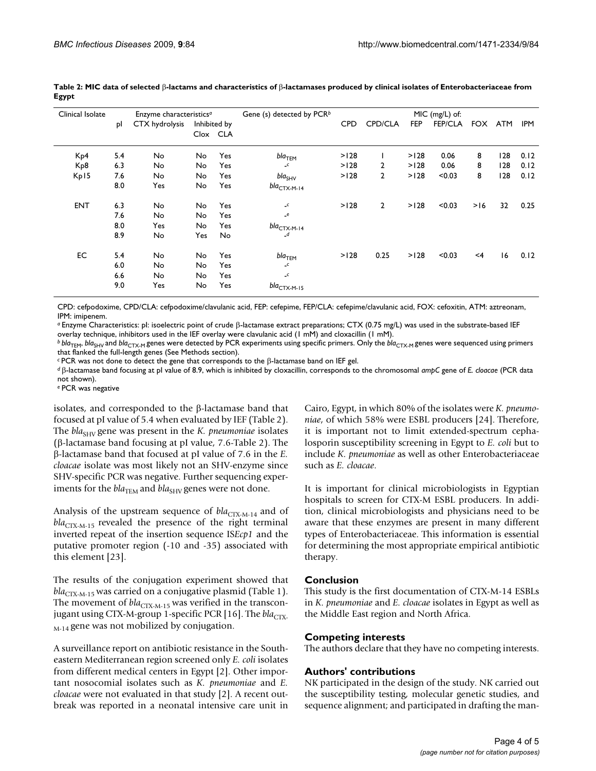| Clinical Isolate |     | Enzyme characteristics <sup>a</sup> |     |          | Gene (s) detected by PCR $b$ | MIC (mg/L) of: |                |                |        |       |            |      |  |
|------------------|-----|-------------------------------------|-----|----------|------------------------------|----------------|----------------|----------------|--------|-------|------------|------|--|
| pl               |     | CTX hydrolysis<br>Inhibited by      |     |          | <b>CPD</b>                   | <b>CPD/CLA</b> | <b>FEP</b>     | <b>FEP/CLA</b> | FOX    | ATM   | <b>IPM</b> |      |  |
|                  |     |                                     |     | Clox CLA |                              |                |                |                |        |       |            |      |  |
| K <sub>p</sub> 4 | 5.4 | No                                  | No  | Yes      | bla $_{\sf TEM}$             | >128           |                | >128           | 0.06   | 8     | 128        | 0.12 |  |
| K <sub>p</sub> 8 | 6.3 | No                                  | No  | Yes      | $\llcorner$                  | >128           | 2              | >128           | 0.06   | 8     | 128        | 0.12 |  |
| Kp15             | 7.6 | No                                  | No  | Yes      | $bla_{SHV}$                  | >128           | $\overline{2}$ | >128           | < 0.03 | 8     | 128        | 0.12 |  |
|                  | 8.0 | Yes                                 | No  | Yes      | $bla_{\text{CTX-M-14}}$      |                |                |                |        |       |            |      |  |
| <b>ENT</b>       | 6.3 | No                                  | No  | Yes      | $\llcorner$                  | >128           | $\overline{2}$ | >128           | < 0.03 | >16   | 32         | 0.25 |  |
|                  | 7.6 | No                                  | No  | Yes      | $_e$ e                       |                |                |                |        |       |            |      |  |
|                  | 8.0 | Yes                                 | No  | Yes      | bla $_{\rm CTX-M-14}$        |                |                |                |        |       |            |      |  |
|                  | 8.9 | No                                  | Yes | No.      | _d                           |                |                |                |        |       |            |      |  |
| EC               | 5.4 | No                                  | No  | Yes      | bla $_{\sf TEM}$             | >128           | 0.25           | >128           | < 0.03 | $<$ 4 | 16         | 0.12 |  |
|                  | 6.0 | No                                  | No  | Yes      | $-c$                         |                |                |                |        |       |            |      |  |
|                  | 6.6 | No.                                 | No  | Yes      | $-c$                         |                |                |                |        |       |            |      |  |
|                  | 9.0 | Yes                                 | No  | Yes      | $bla_{\text{CTX-M-15}}$      |                |                |                |        |       |            |      |  |

<span id="page-3-0"></span>**Table 2: MIC data of selected** β**-lactams and characteristics of** β**-lactamases produced by clinical isolates of Enterobacteriaceae from Egypt**

CPD: cefpodoxime, CPD/CLA: cefpodoxime/clavulanic acid, FEP: cefepime, FEP/CLA: cefepime/clavulanic acid, FOX: cefoxitin, ATM: aztreonam, IPM: imipenem.

*<sup>a</sup>*Enzyme Characteristics: pI: isoelectric point of crude β-lactamase extract preparations; CTX (0.75 mg/L) was used in the substrate-based IEF overlay technique, inhibitors used in the IEF overlay were clavulanic acid (1 mM) and cloxacillin (1 mM).

*b bla*<sub>TEM</sub>, *bla*<sub>SHV</sub> and *bla*<sub>CTX-M</sub> genes were detected by PCR experiments using specific primers. Only the *bla*<sub>CTX-M</sub> genes were sequenced using primers that flanked the full-length genes (See Methods section).

*<sup>c</sup>*PCR was not done to detect the gene that corresponds to the β-lactamase band on IEF gel.

*<sup>d</sup>*β-lactamase band focusing at pI value of 8.9, which is inhibited by cloxacillin, corresponds to the chromosomal *ampC* gene of *E. cloacae* (PCR data not shown).

*e* PCR was negative

isolates, and corresponded to the β-lactamase band that focused at pI value of 5.4 when evaluated by IEF (Table [2\)](#page-3-0). The *bla*<sub>SHV</sub> gene was present in the *K. pneumoniae* isolates (β-lactamase band focusing at pI value, 7.6-Table [2](#page-3-0)). The β-lactamase band that focused at pI value of 7.6 in the *E. cloacae* isolate was most likely not an SHV-enzyme since SHV-specific PCR was negative. Further sequencing experiments for the  $bla_{\text{TEM}}$  and  $bla_{\text{SHV}}$  genes were not done.

Analysis of the upstream sequence of  $bla_{\text{CTX-M-14}}$  and of  $bla_{CTX-M-15}$  revealed the presence of the right terminal inverted repeat of the insertion sequence IS*Ecp1* and the putative promoter region (-10 and -35) associated with this element [\[23\]](#page-4-20).

The results of the conjugation experiment showed that *bla*<sub>CTX-M-15</sub> was carried on a conjugative plasmid (Table [1\)](#page-2-0). The movement of  $bla_{\text{CTX-M-15}}$  was verified in the transcon-jugant using CTX-M-group 1-specific PCR [\[16](#page-4-15)]. The *bla*<sub>CTX-</sub>  $_{\text{M-14}}$  gene was not mobilized by conjugation.

A surveillance report on antibiotic resistance in the Southeastern Mediterranean region screened only *E. coli* isolates from different medical centers in Egypt [[2\]](#page-4-1). Other important nosocomial isolates such as *K. pneumoniae* and *E. cloacae* were not evaluated in that study [[2](#page-4-1)]. A recent outbreak was reported in a neonatal intensive care unit in

Cairo, Egypt, in which 80% of the isolates were *K. pneumoniae*, of which 58% were ESBL producers [[24\]](#page-4-21). Therefore, it is important not to limit extended-spectrum cephalosporin susceptibility screening in Egypt to *E. coli* but to include *K. pneumoniae* as well as other Enterobacteriaceae such as *E. cloacae*.

It is important for clinical microbiologists in Egyptian hospitals to screen for CTX-M ESBL producers. In addition, clinical microbiologists and physicians need to be aware that these enzymes are present in many different types of Enterobacteriaceae. This information is essential for determining the most appropriate empirical antibiotic therapy.

#### **Conclusion**

This study is the first documentation of CTX-M-14 ESBLs in *K. pneumoniae* and *E. cloacae* isolates in Egypt as well as the Middle East region and North Africa.

#### **Competing interests**

The authors declare that they have no competing interests.

#### **Authors' contributions**

NK participated in the design of the study. NK carried out the susceptibility testing, molecular genetic studies, and sequence alignment; and participated in drafting the man